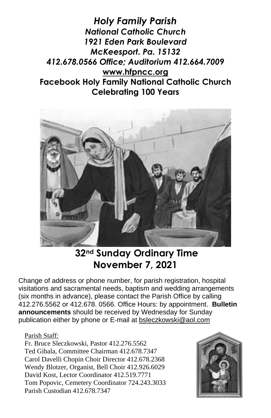*Holy Family Parish National Catholic Church 1921 Eden Park Boulevard McKeesport. Pa. 15132 412.678.0566 Office; Auditorium 412.664.7009* **[www.hfpncc.org](http://www.hfpncc.org/) Facebook Holy Family National Catholic Church Celebrating 100 Years**



# **32nd Sunday Ordinary Time November 7, 2021**

Change of address or phone number, for parish registration, hospital visitations and sacramental needs, baptism and wedding arrangements (six months in advance), please contact the Parish Office by calling 412.276.5562 or 412.678. 0566. Office Hours: by appointment. **Bulletin announcements** should be received by Wednesday for Sunday publication either by phone or E-mail at [bsleczkowski@aol.com](mailto:bsleczkowski@aol.com)

#### Parish Staff:

Fr. Bruce Sleczkowski, Pastor 412.276.5562 Ted Gibala, Committee Chairman 412.678.7347 Carol Davelli Chopin Choir Director 412.678.2368 Wendy Blotzer, Organist, Bell Choir 412.926.6029 David Kost, Lector Coordinator 412.519.7771 Tom Popovic, Cemetery Coordinator 724.243.3033 Parish Custodian 412.678.7347

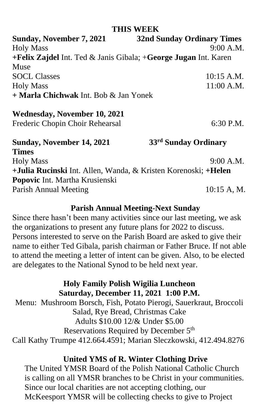#### **THIS WEEK**

| Sunday, November 7, 2021                                                       | <b>32nd Sunday Ordinary Times</b> |
|--------------------------------------------------------------------------------|-----------------------------------|
| <b>Holy Mass</b>                                                               | 9:00 A.M.                         |
| +Felix Zajdel Int. Ted & Janis Gibala; +George Jugan Int. Karen                |                                   |
| Muse                                                                           |                                   |
| <b>SOCL Classes</b>                                                            | 10:15 A.M.                        |
| <b>Holy Mass</b>                                                               | $11:00$ A.M.                      |
| + Marla Chichwak Int. Bob & Jan Yonek                                          |                                   |
| Wednesday, November 10, 2021                                                   |                                   |
| Frederic Chopin Choir Rehearsal                                                | 6:30 P.M.                         |
| Sunday, November 14, 2021                                                      | 33 <sup>rd</sup> Sunday Ordinary  |
| <b>Times</b>                                                                   |                                   |
| <b>Holy Mass</b>                                                               | 9:00 A.M.                         |
| + <b>Julia Rucinski</b> Int. Allen, Wanda, & Kristen Korenoski; + <b>Helen</b> |                                   |
| Popovic Int. Martha Krusienski                                                 |                                   |
| Parish Annual Meeting                                                          | 10:15 A, M.                       |

### **Parish Annual Meeting-Next Sunday**

 Since there hasn't been many activities since our last meeting, we ask the organizations to present any future plans for 2022 to discuss. Persons interested to serve on the Parish Board are asked to give their name to either Ted Gibala, parish chairman or Father Bruce. If not able to attend the meeting a letter of intent can be given. Also, to be elected are delegates to the National Synod to be held next year.

# **Holy Family Polish Wigilia Luncheon Saturday, December 11, 2021 1:00 P.M.**

Menu: Mushroom Borsch, Fish, Potato Pierogi, Sauerkraut, Broccoli Salad, Rye Bread, Christmas Cake Adults \$10.00 12/& Under \$5.00 Reservations Required by December 5<sup>th</sup> Call Kathy Trumpe 412.664.4591; Marian Sleczkowski, 412.494.8276

# **United YMS of R. Winter Clothing Drive**

The United YMSR Board of the Polish National Catholic Church is calling on all YMSR branches to be Christ in your communities. Since our local charities are not accepting clothing, our McKeesport YMSR will be collecting checks to give to Project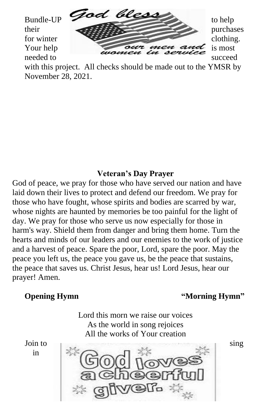

with this project. All checks should be made out to the YMSR by November 28, 2021.

# **Veteran's Day Prayer**

God of peace, we pray for those who have served our nation and have laid down their lives to protect and defend our freedom. We pray for those who have fought, whose spirits and bodies are scarred by war, whose nights are haunted by memories be too painful for the light of day. We pray for those who serve us now especially for those in harm's way. Shield them from danger and bring them home. Turn the hearts and minds of our leaders and our enemies to the work of justice and a harvest of peace. Spare the poor, Lord, spare the poor. May the peace you left us, the peace you gave us, be the peace that sustains, the peace that saves us. Christ Jesus, hear us! Lord Jesus, hear our prayer! Amen.

# **Opening Hymn** "Morning Hymn"

Lord this morn we raise our voices As the world in song rejoices All the works of Your creation

in

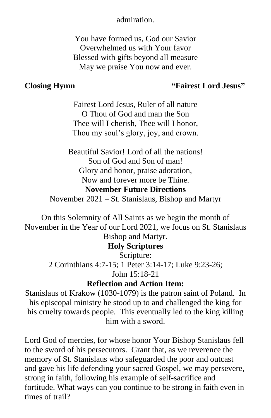#### admiration.

You have formed us, God our Savior Overwhelmed us with Your favor Blessed with gifts beyond all measure May we praise You now and ever.

#### **Closing Hymn "Fairest Lord Jesus"**

Fairest Lord Jesus, Ruler of all nature O Thou of God and man the Son Thee will I cherish, Thee will I honor, Thou my soul's glory, joy, and crown.

Beautiful Savior! Lord of all the nations! Son of God and Son of man! Glory and honor, praise adoration, Now and forever more be Thine. **November Future Directions** November 2021 – St. Stanislaus, Bishop and Martyr

On this Solemnity of All Saints as we begin the month of November in the Year of our Lord 2021, we focus on St. Stanislaus Bishop and Martyr.

#### **Holy Scriptures**

Scripture: 2 Corinthians 4:7-15; 1 Peter 3:14-17; Luke 9:23-26; John 15:18-21

#### **Reflection and Action Item:**

Stanislaus of Krakow (1030-1079) is the patron saint of Poland. In his episcopal ministry he stood up to and challenged the king for his cruelty towards people. This eventually led to the king killing him with a sword.

Lord God of mercies, for whose honor Your Bishop Stanislaus fell to the sword of his persecutors. Grant that, as we reverence the memory of St. Stanislaus who safeguarded the poor and outcast and gave his life defending your sacred Gospel, we may persevere, strong in faith, following his example of self-sacrifice and fortitude. What ways can you continue to be strong in faith even in times of trail?